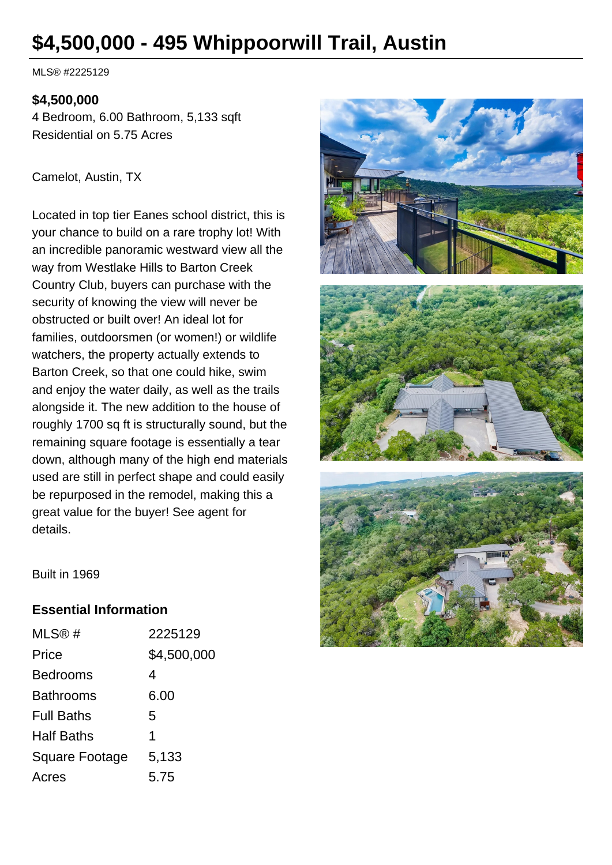# **\$4,500,000 - 495 Whippoorwill Trail, Austin**

MLS® #2225129

#### **\$4,500,000**

4 Bedroom, 6.00 Bathroom, 5,133 sqft Residential on 5.75 Acres

Camelot, Austin, TX

Located in top tier Eanes school district, this is your chance to build on a rare trophy lot! With an incredible panoramic westward view all the way from Westlake Hills to Barton Creek Country Club, buyers can purchase with the security of knowing the view will never be obstructed or built over! An ideal lot for families, outdoorsmen (or women!) or wildlife watchers, the property actually extends to Barton Creek, so that one could hike, swim and enjoy the water daily, as well as the trails alongside it. The new addition to the house of roughly 1700 sq ft is structurally sound, but the remaining square footage is essentially a tear down, although many of the high end materials used are still in perfect shape and could easily be repurposed in the remodel, making this a great value for the buyer! See agent for details.



Built in 1969

#### **Essential Information**

| MLS@#                 | 2225129     |
|-----------------------|-------------|
| Price                 | \$4,500,000 |
| Bedrooms              | 4           |
| <b>Bathrooms</b>      | 6.00        |
| <b>Full Baths</b>     | 5           |
| <b>Half Baths</b>     | 1           |
| <b>Square Footage</b> | 5,133       |
| Acres                 | 5.75        |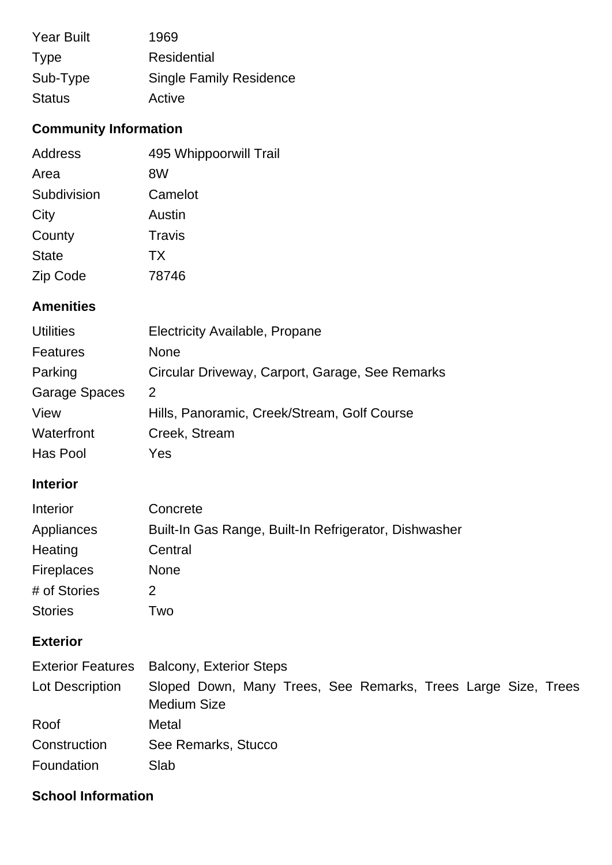| <b>Year Built</b> | 1969                           |
|-------------------|--------------------------------|
| <b>Type</b>       | Residential                    |
| Sub-Type          | <b>Single Family Residence</b> |
| <b>Status</b>     | Active                         |

# **Community Information**

| <b>Address</b> | 495 Whippoorwill Trail |
|----------------|------------------------|
| Area           | 8W                     |
| Subdivision    | Camelot                |
| City           | Austin                 |
| County         | Travis                 |
| <b>State</b>   | <b>TX</b>              |
| Zip Code       | 78746                  |

## **Amenities**

| <b>Utilities</b>     | <b>Electricity Available, Propane</b>           |
|----------------------|-------------------------------------------------|
| <b>Features</b>      | <b>None</b>                                     |
| Parking              | Circular Driveway, Carport, Garage, See Remarks |
| <b>Garage Spaces</b> | 2                                               |
| View                 | Hills, Panoramic, Creek/Stream, Golf Course     |
| Waterfront           | Creek, Stream                                   |
| Has Pool             | Yes                                             |

## **Interior**

| Interior          | Concrete                                              |
|-------------------|-------------------------------------------------------|
| Appliances        | Built-In Gas Range, Built-In Refrigerator, Dishwasher |
| Heating           | Central                                               |
| <b>Fireplaces</b> | <b>None</b>                                           |
| # of Stories      | 2                                                     |
| <b>Stories</b>    | l wo                                                  |

# **Exterior**

|                 | Exterior Features Balcony, Exterior Steps                                           |
|-----------------|-------------------------------------------------------------------------------------|
| Lot Description | Sloped Down, Many Trees, See Remarks, Trees Large Size, Trees<br><b>Medium Size</b> |
| Roof            | Metal                                                                               |
| Construction    | See Remarks, Stucco                                                                 |
| Foundation      | Slab                                                                                |

## **School Information**